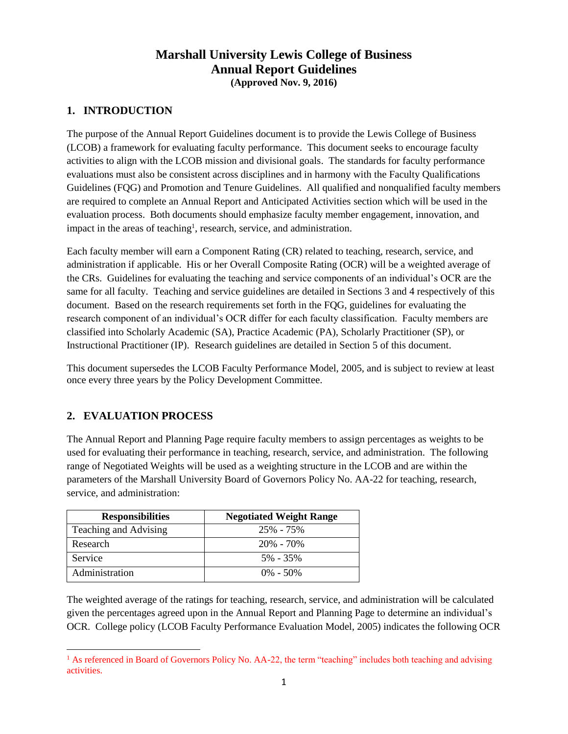## **Marshall University Lewis College of Business Annual Report Guidelines (Approved Nov. 9, 2016)**

## **1. INTRODUCTION**

The purpose of the Annual Report Guidelines document is to provide the Lewis College of Business (LCOB) a framework for evaluating faculty performance. This document seeks to encourage faculty activities to align with the LCOB mission and divisional goals. The standards for faculty performance evaluations must also be consistent across disciplines and in harmony with the Faculty Qualifications Guidelines (FQG) and Promotion and Tenure Guidelines. All qualified and nonqualified faculty members are required to complete an Annual Report and Anticipated Activities section which will be used in the evaluation process. Both documents should emphasize faculty member engagement, innovation, and impact in the areas of teaching<sup>1</sup>, research, service, and administration.

Each faculty member will earn a Component Rating (CR) related to teaching, research, service, and administration if applicable. His or her Overall Composite Rating (OCR) will be a weighted average of the CRs. Guidelines for evaluating the teaching and service components of an individual's OCR are the same for all faculty. Teaching and service guidelines are detailed in Sections 3 and 4 respectively of this document. Based on the research requirements set forth in the FQG, guidelines for evaluating the research component of an individual's OCR differ for each faculty classification. Faculty members are classified into Scholarly Academic (SA), Practice Academic (PA), Scholarly Practitioner (SP), or Instructional Practitioner (IP). Research guidelines are detailed in Section 5 of this document.

This document supersedes the LCOB Faculty Performance Model, 2005, and is subject to review at least once every three years by the Policy Development Committee.

## **2. EVALUATION PROCESS**

The Annual Report and Planning Page require faculty members to assign percentages as weights to be used for evaluating their performance in teaching, research, service, and administration. The following range of Negotiated Weights will be used as a weighting structure in the LCOB and are within the parameters of the Marshall University Board of Governors Policy No. AA-22 for teaching, research, service, and administration:

| <b>Responsibilities</b> | <b>Negotiated Weight Range</b> |
|-------------------------|--------------------------------|
| Teaching and Advising   | 25% - 75%                      |
| Research                | $20\% - 70\%$                  |
| Service                 | 5% - 35%                       |
| Administration          | $0\% - 50\%$                   |

The weighted average of the ratings for teaching, research, service, and administration will be calculated given the percentages agreed upon in the Annual Report and Planning Page to determine an individual's OCR. College policy (LCOB Faculty Performance Evaluation Model, 2005) indicates the following OCR

 $\overline{\phantom{a}}$ <sup>1</sup> As referenced in Board of Governors Policy No. AA-22, the term "teaching" includes both teaching and advising activities.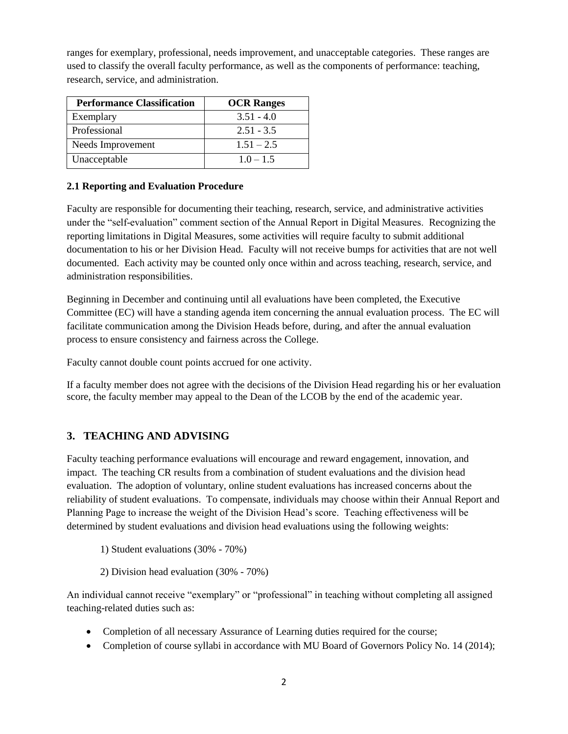ranges for exemplary, professional, needs improvement, and unacceptable categories. These ranges are used to classify the overall faculty performance, as well as the components of performance: teaching, research, service, and administration.

| <b>Performance Classification</b> | <b>OCR Ranges</b> |  |
|-----------------------------------|-------------------|--|
| Exemplary                         | $3.51 - 4.0$      |  |
| Professional                      | $2.51 - 3.5$      |  |
| Needs Improvement                 | $1.51 - 2.5$      |  |
| Unacceptable                      | $1.0 - 1.5$       |  |

### **2.1 Reporting and Evaluation Procedure**

Faculty are responsible for documenting their teaching, research, service, and administrative activities under the "self-evaluation" comment section of the Annual Report in Digital Measures. Recognizing the reporting limitations in Digital Measures, some activities will require faculty to submit additional documentation to his or her Division Head. Faculty will not receive bumps for activities that are not well documented. Each activity may be counted only once within and across teaching, research, service, and administration responsibilities.

Beginning in December and continuing until all evaluations have been completed, the Executive Committee (EC) will have a standing agenda item concerning the annual evaluation process. The EC will facilitate communication among the Division Heads before, during, and after the annual evaluation process to ensure consistency and fairness across the College.

Faculty cannot double count points accrued for one activity.

If a faculty member does not agree with the decisions of the Division Head regarding his or her evaluation score, the faculty member may appeal to the Dean of the LCOB by the end of the academic year.

## **3. TEACHING AND ADVISING**

Faculty teaching performance evaluations will encourage and reward engagement, innovation, and impact. The teaching CR results from a combination of student evaluations and the division head evaluation. The adoption of voluntary, online student evaluations has increased concerns about the reliability of student evaluations. To compensate, individuals may choose within their Annual Report and Planning Page to increase the weight of the Division Head's score. Teaching effectiveness will be determined by student evaluations and division head evaluations using the following weights:

1) Student evaluations (30% - 70%)

2) Division head evaluation (30% - 70%)

An individual cannot receive "exemplary" or "professional" in teaching without completing all assigned teaching-related duties such as:

- Completion of all necessary Assurance of Learning duties required for the course;
- Completion of course syllabi in accordance with MU Board of Governors Policy No. 14 (2014);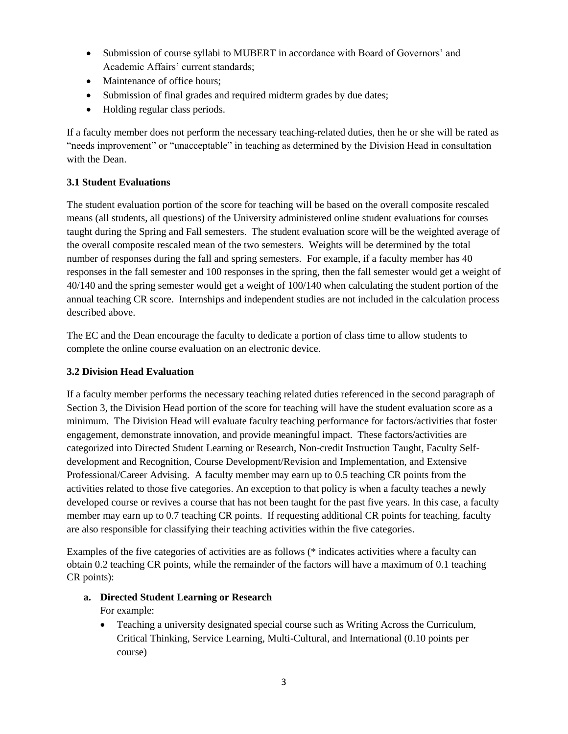- Submission of course syllabi to MUBERT in accordance with Board of Governors' and Academic Affairs' current standards;
- Maintenance of office hours:
- Submission of final grades and required midterm grades by due dates;
- Holding regular class periods.

If a faculty member does not perform the necessary teaching-related duties, then he or she will be rated as "needs improvement" or "unacceptable" in teaching as determined by the Division Head in consultation with the Dean.

#### **3.1 Student Evaluations**

The student evaluation portion of the score for teaching will be based on the overall composite rescaled means (all students, all questions) of the University administered online student evaluations for courses taught during the Spring and Fall semesters. The student evaluation score will be the weighted average of the overall composite rescaled mean of the two semesters. Weights will be determined by the total number of responses during the fall and spring semesters. For example, if a faculty member has 40 responses in the fall semester and 100 responses in the spring, then the fall semester would get a weight of 40/140 and the spring semester would get a weight of 100/140 when calculating the student portion of the annual teaching CR score. Internships and independent studies are not included in the calculation process described above.

The EC and the Dean encourage the faculty to dedicate a portion of class time to allow students to complete the online course evaluation on an electronic device.

#### **3.2 Division Head Evaluation**

If a faculty member performs the necessary teaching related duties referenced in the second paragraph of Section 3, the Division Head portion of the score for teaching will have the student evaluation score as a minimum. The Division Head will evaluate faculty teaching performance for factors/activities that foster engagement, demonstrate innovation, and provide meaningful impact. These factors/activities are categorized into Directed Student Learning or Research, Non-credit Instruction Taught, Faculty Selfdevelopment and Recognition, Course Development/Revision and Implementation, and Extensive Professional/Career Advising. A faculty member may earn up to 0.5 teaching CR points from the activities related to those five categories. An exception to that policy is when a faculty teaches a newly developed course or revives a course that has not been taught for the past five years. In this case, a faculty member may earn up to 0.7 teaching CR points. If requesting additional CR points for teaching, faculty are also responsible for classifying their teaching activities within the five categories.

Examples of the five categories of activities are as follows (\* indicates activities where a faculty can obtain 0.2 teaching CR points, while the remainder of the factors will have a maximum of 0.1 teaching CR points):

#### **a. Directed Student Learning or Research**

#### For example:

 Teaching a university designated special course such as Writing Across the Curriculum, Critical Thinking, Service Learning, Multi-Cultural, and International (0.10 points per course)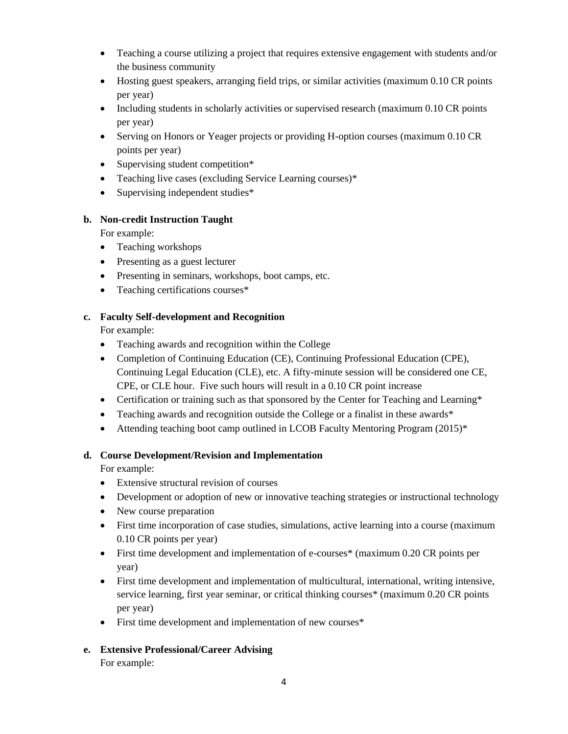- Teaching a course utilizing a project that requires extensive engagement with students and/or the business community
- Hosting guest speakers, arranging field trips, or similar activities (maximum 0.10 CR points per year)
- Including students in scholarly activities or supervised research (maximum 0.10 CR points per year)
- Serving on Honors or Yeager projects or providing H-option courses (maximum 0.10 CR points per year)
- Supervising student competition\*
- Teaching live cases (excluding Service Learning courses)\*
- Supervising independent studies\*

#### **b. Non-credit Instruction Taught**

For example:

- Teaching workshops
- Presenting as a guest lecturer
- Presenting in seminars, workshops, boot camps, etc.
- Teaching certifications courses\*

#### **c. Faculty Self-development and Recognition**

For example:

- Teaching awards and recognition within the College
- Completion of Continuing Education (CE), Continuing Professional Education (CPE), Continuing Legal Education (CLE), etc. A fifty-minute session will be considered one CE, CPE, or CLE hour. Five such hours will result in a 0.10 CR point increase
- Certification or training such as that sponsored by the Center for Teaching and Learning\*
- Teaching awards and recognition outside the College or a finalist in these awards\*
- Attending teaching boot camp outlined in LCOB Faculty Mentoring Program (2015)\*

#### **d. Course Development/Revision and Implementation**

For example:

- Extensive structural revision of courses
- Development or adoption of new or innovative teaching strategies or instructional technology
- New course preparation
- First time incorporation of case studies, simulations, active learning into a course (maximum 0.10 CR points per year)
- First time development and implementation of e-courses\* (maximum 0.20 CR points per year)
- First time development and implementation of multicultural, international, writing intensive, service learning, first year seminar, or critical thinking courses\* (maximum 0.20 CR points per year)
- First time development and implementation of new courses\*
- **e. Extensive Professional/Career Advising**

For example: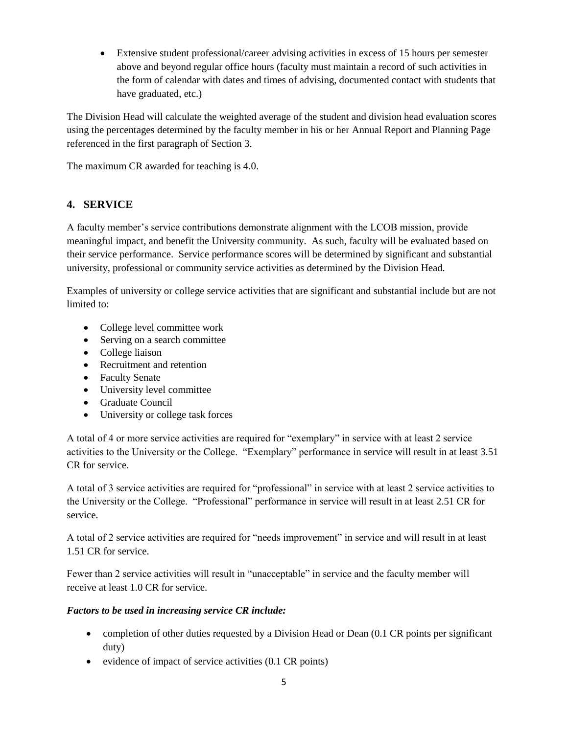Extensive student professional/career advising activities in excess of 15 hours per semester above and beyond regular office hours (faculty must maintain a record of such activities in the form of calendar with dates and times of advising, documented contact with students that have graduated, etc.)

The Division Head will calculate the weighted average of the student and division head evaluation scores using the percentages determined by the faculty member in his or her Annual Report and Planning Page referenced in the first paragraph of Section 3.

The maximum CR awarded for teaching is 4.0.

## **4. SERVICE**

A faculty member's service contributions demonstrate alignment with the LCOB mission, provide meaningful impact, and benefit the University community. As such, faculty will be evaluated based on their service performance. Service performance scores will be determined by significant and substantial university, professional or community service activities as determined by the Division Head.

Examples of university or college service activities that are significant and substantial include but are not limited to:

- College level committee work
- Serving on a search committee
- College liaison
- Recruitment and retention
- Faculty Senate
- University level committee
- Graduate Council
- University or college task forces

A total of 4 or more service activities are required for "exemplary" in service with at least 2 service activities to the University or the College. "Exemplary" performance in service will result in at least 3.51 CR for service.

A total of 3 service activities are required for "professional" in service with at least 2 service activities to the University or the College. "Professional" performance in service will result in at least 2.51 CR for service.

A total of 2 service activities are required for "needs improvement" in service and will result in at least 1.51 CR for service.

Fewer than 2 service activities will result in "unacceptable" in service and the faculty member will receive at least 1.0 CR for service.

#### *Factors to be used in increasing service CR include:*

- completion of other duties requested by a Division Head or Dean (0.1 CR points per significant duty)
- evidence of impact of service activities  $(0.1 \text{ CR points})$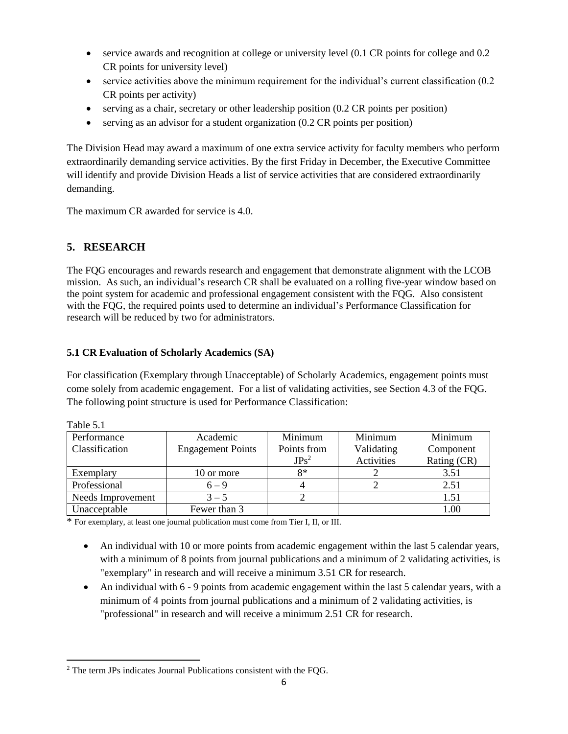- service awards and recognition at college or university level (0.1 CR points for college and 0.2 CR points for university level)
- service activities above the minimum requirement for the individual's current classification (0.2 CR points per activity)
- $\bullet$  serving as a chair, secretary or other leadership position (0.2 CR points per position)
- serving as an advisor for a student organization (0.2 CR points per position)

The Division Head may award a maximum of one extra service activity for faculty members who perform extraordinarily demanding service activities. By the first Friday in December, the Executive Committee will identify and provide Division Heads a list of service activities that are considered extraordinarily demanding.

The maximum CR awarded for service is 4.0.

# **5. RESEARCH**

The FQG encourages and rewards research and engagement that demonstrate alignment with the LCOB mission. As such, an individual's research CR shall be evaluated on a rolling five-year window based on the point system for academic and professional engagement consistent with the FQG. Also consistent with the FQG, the required points used to determine an individual's Performance Classification for research will be reduced by two for administrators.

## **5.1 CR Evaluation of Scholarly Academics (SA)**

For classification (Exemplary through Unacceptable) of Scholarly Academics, engagement points must come solely from academic engagement. For a list of validating activities, see Section 4.3 of the FQG. The following point structure is used for Performance Classification:

| Performance       | Academic                 | Minimum     | Minimum    | Minimum     |
|-------------------|--------------------------|-------------|------------|-------------|
| Classification    | <b>Engagement Points</b> | Points from | Validating | Component   |
|                   |                          | $JPs^2$     | Activities | Rating (CR) |
| Exemplary         | 10 or more               | $8*$        |            | 3.51        |
| Professional      | $6 - 9$                  |             |            | 2.51        |
| Needs Improvement | $3 - 5$                  |             |            | 1.51        |
| Unacceptable      | Fewer than 3             |             |            | 0.00        |

| <b>Table</b> |  |
|--------------|--|
|              |  |

\* For exemplary, at least one journal publication must come from Tier I, II, or III.

- An individual with 10 or more points from academic engagement within the last 5 calendar years, with a minimum of 8 points from journal publications and a minimum of 2 validating activities, is "exemplary" in research and will receive a minimum 3.51 CR for research.
- An individual with 6 9 points from academic engagement within the last 5 calendar years, with a minimum of 4 points from journal publications and a minimum of 2 validating activities, is "professional" in research and will receive a minimum 2.51 CR for research.

 $\overline{\phantom{a}}$  $2$  The term JPs indicates Journal Publications consistent with the FOG.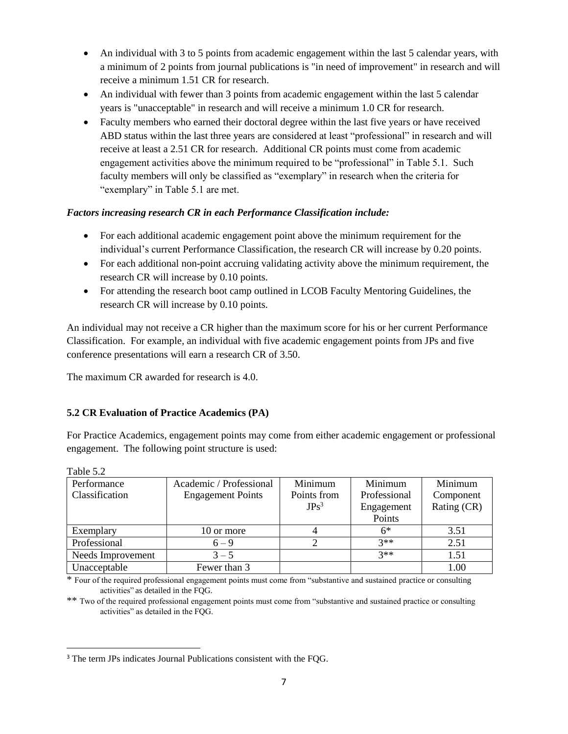- An individual with 3 to 5 points from academic engagement within the last 5 calendar years, with a minimum of 2 points from journal publications is "in need of improvement" in research and will receive a minimum 1.51 CR for research.
- An individual with fewer than 3 points from academic engagement within the last 5 calendar years is "unacceptable" in research and will receive a minimum 1.0 CR for research.
- Faculty members who earned their doctoral degree within the last five years or have received ABD status within the last three years are considered at least "professional" in research and will receive at least a 2.51 CR for research. Additional CR points must come from academic engagement activities above the minimum required to be "professional" in Table 5.1. Such faculty members will only be classified as "exemplary" in research when the criteria for "exemplary" in Table 5.1 are met.

### *Factors increasing research CR in each Performance Classification include:*

- For each additional academic engagement point above the minimum requirement for the individual's current Performance Classification, the research CR will increase by 0.20 points.
- For each additional non-point accruing validating activity above the minimum requirement, the research CR will increase by 0.10 points.
- For attending the research boot camp outlined in LCOB Faculty Mentoring Guidelines, the research CR will increase by 0.10 points.

An individual may not receive a CR higher than the maximum score for his or her current Performance Classification. For example, an individual with five academic engagement points from JPs and five conference presentations will earn a research CR of 3.50.

The maximum CR awarded for research is 4.0.

## **5.2 CR Evaluation of Practice Academics (PA)**

For Practice Academics, engagement points may come from either academic engagement or professional engagement. The following point structure is used:

| <b>Table</b> $.012$ |                          |             |              |             |
|---------------------|--------------------------|-------------|--------------|-------------|
| Performance         | Academic / Professional  | Minimum     | Minimum      | Minimum     |
| Classification      | <b>Engagement Points</b> | Points from | Professional | Component   |
|                     |                          | $JPs^3$     | Engagement   | Rating (CR) |
|                     |                          |             | Points       |             |
| Exemplary           | 10 or more               |             | 6*           | 3.51        |
| Professional        | $6 - 9$                  |             | $3**$        | 2.51        |
| Needs Improvement   | $3 - 5$                  |             | $3**$        | 1.51        |
| Unacceptable        | Fewer than 3             |             |              | $1.00\,$    |

 $T<sub>1</sub>T<sub>2</sub>$ 

 $\overline{\phantom{a}}$ 

\*\* Two of the required professional engagement points must come from "substantive and sustained practice or consulting activities" as detailed in the FQG.

<sup>\*</sup> Four of the required professional engagement points must come from "substantive and sustained practice or consulting activities" as detailed in the FQG.

<sup>&</sup>lt;sup>3</sup> The term JPs indicates Journal Publications consistent with the FOG.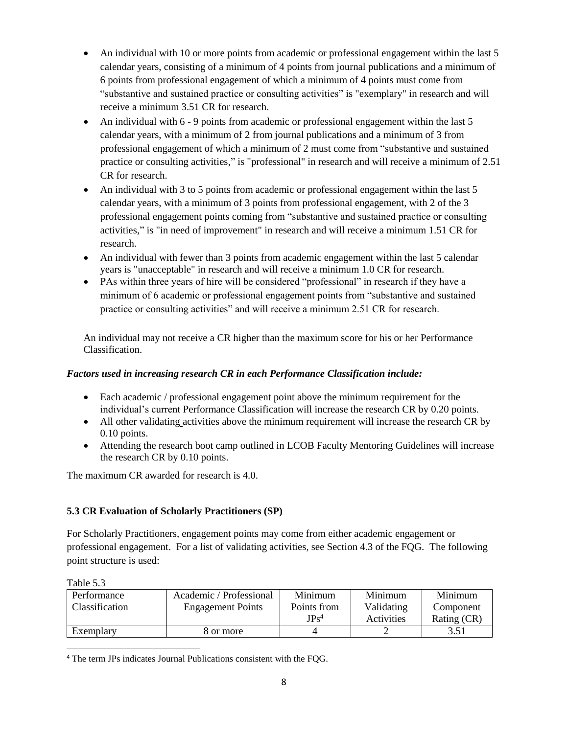- An individual with 10 or more points from academic or professional engagement within the last 5 calendar years, consisting of a minimum of 4 points from journal publications and a minimum of 6 points from professional engagement of which a minimum of 4 points must come from "substantive and sustained practice or consulting activities" is "exemplary" in research and will receive a minimum 3.51 CR for research.
- An individual with 6 9 points from academic or professional engagement within the last 5 calendar years, with a minimum of 2 from journal publications and a minimum of 3 from professional engagement of which a minimum of 2 must come from "substantive and sustained practice or consulting activities," is "professional" in research and will receive a minimum of 2.51 CR for research.
- An individual with 3 to 5 points from academic or professional engagement within the last 5 calendar years, with a minimum of 3 points from professional engagement, with 2 of the 3 professional engagement points coming from "substantive and sustained practice or consulting activities," is "in need of improvement" in research and will receive a minimum 1.51 CR for research.
- An individual with fewer than 3 points from academic engagement within the last 5 calendar years is "unacceptable" in research and will receive a minimum 1.0 CR for research.
- PAs within three years of hire will be considered "professional" in research if they have a minimum of 6 academic or professional engagement points from "substantive and sustained practice or consulting activities" and will receive a minimum 2.51 CR for research.

An individual may not receive a CR higher than the maximum score for his or her Performance Classification.

### *Factors used in increasing research CR in each Performance Classification include:*

- Each academic / professional engagement point above the minimum requirement for the individual's current Performance Classification will increase the research CR by 0.20 points.
- All other validating activities above the minimum requirement will increase the research CR by 0.10 points.
- Attending the research boot camp outlined in LCOB Faculty Mentoring Guidelines will increase the research CR by 0.10 points.

The maximum CR awarded for research is 4.0.

## **5.3 CR Evaluation of Scholarly Practitioners (SP)**

For Scholarly Practitioners, engagement points may come from either academic engagement or professional engagement. For a list of validating activities, see Section 4.3 of the FQG. The following point structure is used:

 $\overline{\phantom{a}}$ 

| Performance           | Academic / Professional  | Minimum          | Minimum    | Minimum     |
|-----------------------|--------------------------|------------------|------------|-------------|
| <b>Classification</b> | <b>Engagement Points</b> | Points from      | Validating | Component   |
|                       |                          | JPs <sup>4</sup> | Activities | Rating (CR) |
| Exemplary             | 8 or more                |                  |            | 3.51        |

<sup>4</sup> The term JPs indicates Journal Publications consistent with the FQG.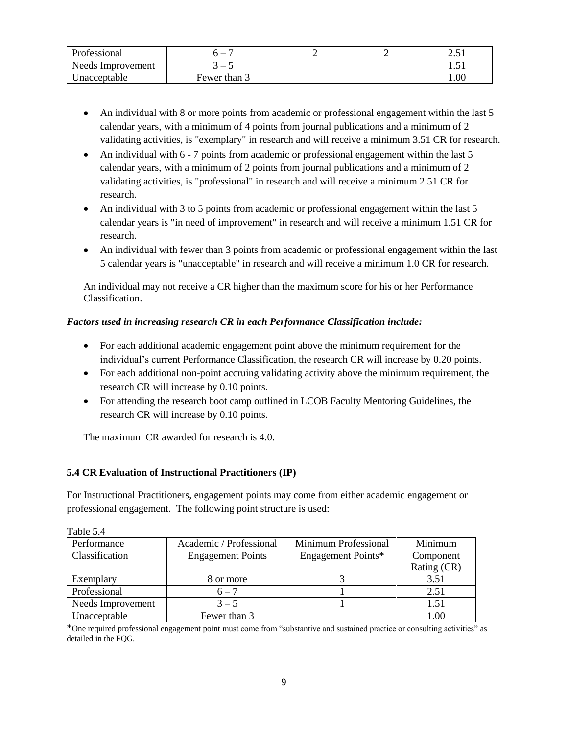| Professional      | -            |  | $\cap$ $\subset$<br>2.J P |
|-------------------|--------------|--|---------------------------|
| Needs Improvement | _            |  | 1.J 1                     |
| Jnacceptable      | Fewer than 3 |  | 00.1                      |

- An individual with 8 or more points from academic or professional engagement within the last 5 calendar years, with a minimum of 4 points from journal publications and a minimum of 2 validating activities, is "exemplary" in research and will receive a minimum 3.51 CR for research.
- An individual with 6 7 points from academic or professional engagement within the last 5 calendar years, with a minimum of 2 points from journal publications and a minimum of 2 validating activities, is "professional" in research and will receive a minimum 2.51 CR for research.
- An individual with 3 to 5 points from academic or professional engagement within the last 5 calendar years is "in need of improvement" in research and will receive a minimum 1.51 CR for research.
- An individual with fewer than 3 points from academic or professional engagement within the last 5 calendar years is "unacceptable" in research and will receive a minimum 1.0 CR for research.

An individual may not receive a CR higher than the maximum score for his or her Performance Classification.

### *Factors used in increasing research CR in each Performance Classification include:*

- For each additional academic engagement point above the minimum requirement for the individual's current Performance Classification, the research CR will increase by 0.20 points.
- For each additional non-point accruing validating activity above the minimum requirement, the research CR will increase by 0.10 points.
- For attending the research boot camp outlined in LCOB Faculty Mentoring Guidelines, the research CR will increase by 0.10 points.

The maximum CR awarded for research is 4.0.

#### **5.4 CR Evaluation of Instructional Practitioners (IP)**

For Instructional Practitioners, engagement points may come from either academic engagement or professional engagement. The following point structure is used:

| $1$ avive $J.H$   |                          |                      |             |
|-------------------|--------------------------|----------------------|-------------|
| Performance       | Academic / Professional  | Minimum Professional | Minimum     |
| Classification    | <b>Engagement Points</b> | Engagement Points*   | Component   |
|                   |                          |                      | Rating (CR) |
| Exemplary         | 8 or more                |                      | 3.51        |
| Professional      | $6 - 7$                  |                      | 2.51        |
| Needs Improvement | $3 - 5$                  |                      | 1.51        |
| Unacceptable      | Fewer than 3             |                      | $1.00\,$    |

Table 5.4

\*One required professional engagement point must come from "substantive and sustained practice or consulting activities" as detailed in the FQG.